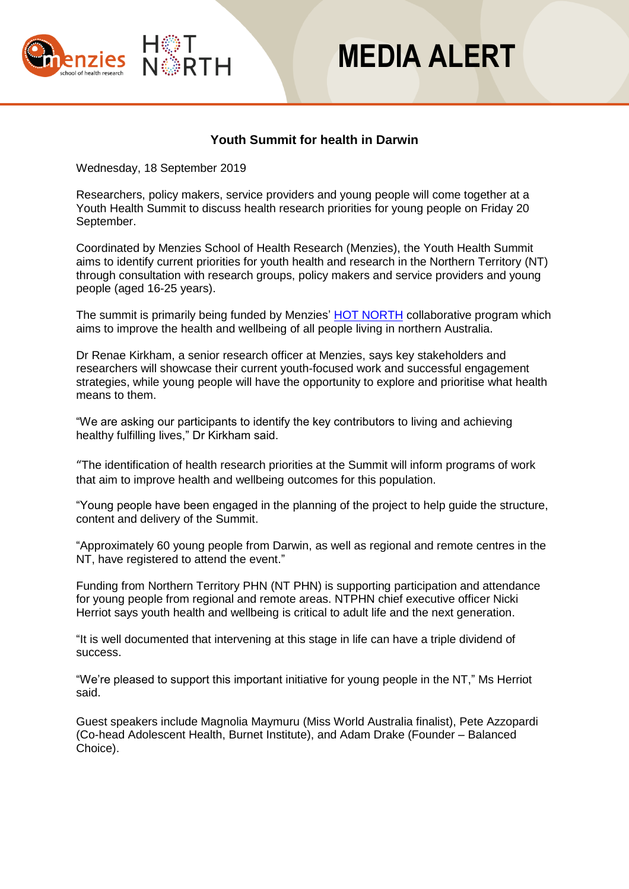



## **Youth Summit for health in Darwin**

Wednesday, 18 September 2019

Researchers, policy makers, service providers and young people will come together at a Youth Health Summit to discuss health research priorities for young people on Friday 20 September.

Coordinated by Menzies School of Health Research (Menzies), the Youth Health Summit aims to identify current priorities for youth health and research in the Northern Territory (NT) through consultation with research groups, policy makers and service providers and young people (aged 16-25 years).

The summit is primarily being funded by Menzies' **[HOT NORTH](https://www.hotnorth.org.au/)** collaborative program which aims to improve the health and wellbeing of all people living in northern Australia.

Dr Renae Kirkham, a senior research officer at Menzies, says key stakeholders and researchers will showcase their current youth-focused work and successful engagement strategies, while young people will have the opportunity to explore and prioritise what health means to them.

"We are asking our participants to identify the key contributors to living and achieving healthy fulfilling lives," Dr Kirkham said.

"The identification of health research priorities at the Summit will inform programs of work that aim to improve health and wellbeing outcomes for this population.

"Young people have been engaged in the planning of the project to help guide the structure, content and delivery of the Summit.

"Approximately 60 young people from Darwin, as well as regional and remote centres in the NT, have registered to attend the event."

Funding from Northern Territory PHN (NT PHN) is supporting participation and attendance for young people from regional and remote areas. NTPHN chief executive officer Nicki Herriot says youth health and wellbeing is critical to adult life and the next generation.

"It is well documented that intervening at this stage in life can have a triple dividend of success.

"We're pleased to support this important initiative for young people in the NT," Ms Herriot said.

Guest speakers include Magnolia Maymuru (Miss World Australia finalist), Pete Azzopardi (Co-head Adolescent Health, Burnet Institute), and Adam Drake (Founder – Balanced Choice).